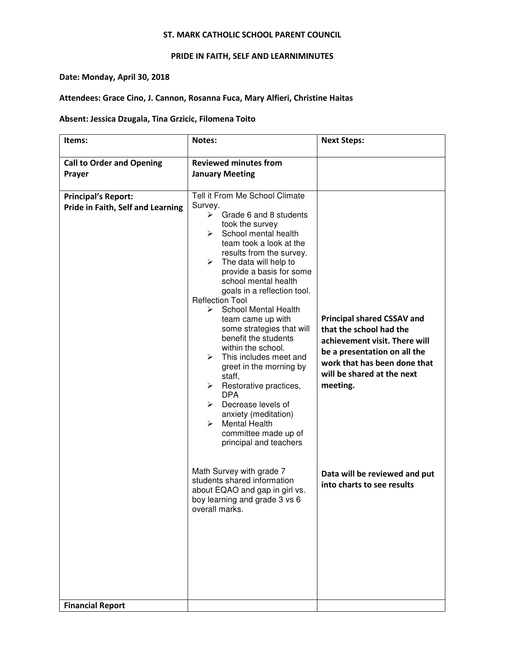### ST. MARK CATHOLIC SCHOOL PARENT COUNCIL

# PRIDE IN FAITH, SELF AND LEARNIMINUTES

## Date: Monday, April 30, 2018

# Attendees: Grace Cino, J. Cannon, Rosanna Fuca, Mary Alfieri, Christine Haitas

# Absent: Jessica Dzugala, Tina Grzicic, Filomena Toito

| Items:                                                          | Notes:                                                                                                                                                                                                                                                                                                                                                                                                                                                                                                                                                                                                                                                                                                                                                                                                                                                                                | <b>Next Steps:</b>                                                                                                                                                                                                                                                     |
|-----------------------------------------------------------------|---------------------------------------------------------------------------------------------------------------------------------------------------------------------------------------------------------------------------------------------------------------------------------------------------------------------------------------------------------------------------------------------------------------------------------------------------------------------------------------------------------------------------------------------------------------------------------------------------------------------------------------------------------------------------------------------------------------------------------------------------------------------------------------------------------------------------------------------------------------------------------------|------------------------------------------------------------------------------------------------------------------------------------------------------------------------------------------------------------------------------------------------------------------------|
| <b>Call to Order and Opening</b><br>Prayer                      | <b>Reviewed minutes from</b><br><b>January Meeting</b>                                                                                                                                                                                                                                                                                                                                                                                                                                                                                                                                                                                                                                                                                                                                                                                                                                |                                                                                                                                                                                                                                                                        |
| <b>Principal's Report:</b><br>Pride in Faith, Self and Learning | Tell it From Me School Climate<br>Survey.<br>Grade 6 and 8 students<br>≻<br>took the survey<br>School mental health<br>≻<br>team took a look at the<br>results from the survey.<br>The data will help to<br>$\blacktriangleright$<br>provide a basis for some<br>school mental health<br>goals in a reflection tool.<br><b>Reflection Tool</b><br><b>School Mental Health</b><br>≻<br>team came up with<br>some strategies that will<br>benefit the students<br>within the school.<br>This includes meet and<br>➤<br>greet in the morning by<br>staff,<br>Restorative practices,<br>≻<br><b>DPA</b><br>Decrease levels of<br>≻<br>anxiety (meditation)<br><b>Mental Health</b><br>➤<br>committee made up of<br>principal and teachers<br>Math Survey with grade 7<br>students shared information<br>about EQAO and gap in girl vs.<br>boy learning and grade 3 vs 6<br>overall marks. | <b>Principal shared CSSAV and</b><br>that the school had the<br>achievement visit. There will<br>be a presentation on all the<br>work that has been done that<br>will be shared at the next<br>meeting.<br>Data will be reviewed and put<br>into charts to see results |
| <b>Financial Report</b>                                         |                                                                                                                                                                                                                                                                                                                                                                                                                                                                                                                                                                                                                                                                                                                                                                                                                                                                                       |                                                                                                                                                                                                                                                                        |